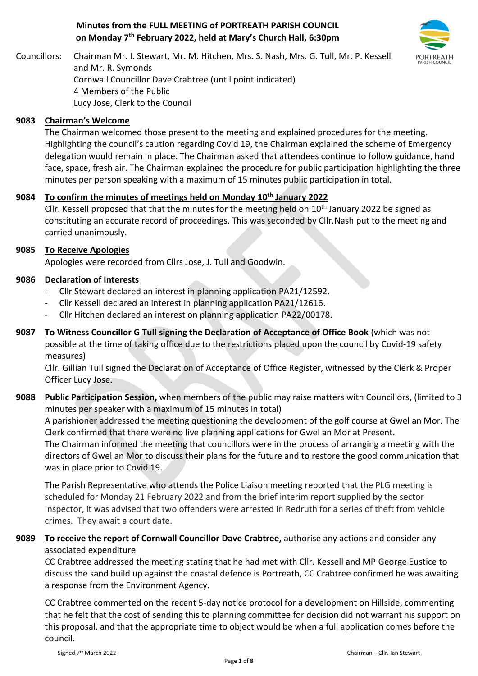# **Minutes from the FULL MEETING of PORTREATH PARISH COUNCIL on Monday 7 th February 2022, held at Mary's Church Hall, 6:30pm**



Councillors: Chairman Mr. I. Stewart, Mr. M. Hitchen, Mrs. S. Nash, Mrs. G. Tull, Mr. P. Kessell and Mr. R. Symonds Cornwall Councillor Dave Crabtree (until point indicated) 4 Members of the Public Lucy Jose, Clerk to the Council

## **9083 Chairman's Welcome**

The Chairman welcomed those present to the meeting and explained procedures for the meeting. Highlighting the council's caution regarding Covid 19, the Chairman explained the scheme of Emergency delegation would remain in place. The Chairman asked that attendees continue to follow guidance, hand face, space, fresh air. The Chairman explained the procedure for public participation highlighting the three minutes per person speaking with a maximum of 15 minutes public participation in total.

# **9084 To confirm the minutes of meetings held on Monday 10th January 2022**

Cllr. Kessell proposed that that the minutes for the meeting held on  $10<sup>th</sup>$  January 2022 be signed as constituting an accurate record of proceedings. This was seconded by Cllr.Nash put to the meeting and carried unanimously.

#### **9085 To Receive Apologies**

Apologies were recorded from Cllrs Jose, J. Tull and Goodwin.

## **9086 Declaration of Interests**

- Cllr Stewart declared an interest in planning application PA21/12592.
- Cllr Kessell declared an interest in planning application PA21/12616.
- Cllr Hitchen declared an interest on planning application PA22/00178.
- **9087 To Witness Councillor G Tull signing the Declaration of Acceptance of Office Book** (which was not possible at the time of taking office due to the restrictions placed upon the council by Covid-19 safety measures)

Cllr. Gillian Tull signed the Declaration of Acceptance of Office Register, witnessed by the Clerk & Proper Officer Lucy Jose.

**9088 Public Participation Session,** when members of the public may raise matters with Councillors, (limited to 3 minutes per speaker with a maximum of 15 minutes in total)

A parishioner addressed the meeting questioning the development of the golf course at Gwel an Mor. The Clerk confirmed that there were no live planning applications for Gwel an Mor at Present.

The Chairman informed the meeting that councillors were in the process of arranging a meeting with the directors of Gwel an Mor to discuss their plans for the future and to restore the good communication that was in place prior to Covid 19.

The Parish Representative who attends the Police Liaison meeting reported that the PLG meeting is scheduled for Monday 21 February 2022 and from the brief interim report supplied by the sector Inspector, it was advised that two offenders were arrested in Redruth for a series of theft from vehicle crimes. They await a court date.

# **9089 To receive the report of Cornwall Councillor Dave Crabtree,** authorise any actions and consider any associated expenditure

CC Crabtree addressed the meeting stating that he had met with Cllr. Kessell and MP George Eustice to discuss the sand build up against the coastal defence is Portreath, CC Crabtree confirmed he was awaiting a response from the Environment Agency.

CC Crabtree commented on the recent 5-day notice protocol for a development on Hillside, commenting that he felt that the cost of sending this to planning committee for decision did not warrant his support on this proposal, and that the appropriate time to object would be when a full application comes before the council.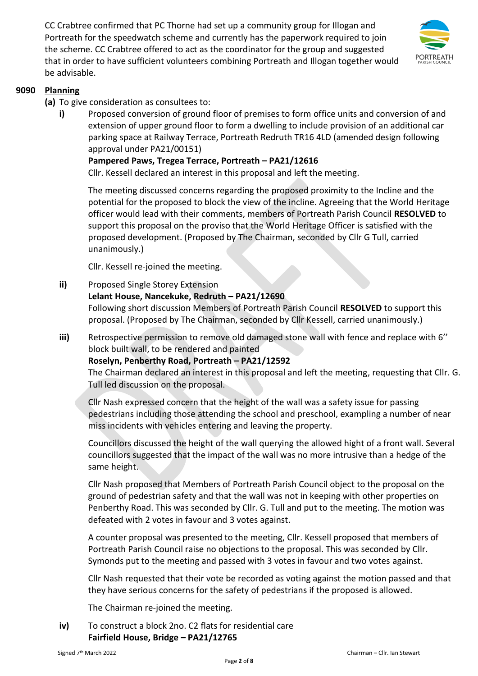CC Crabtree confirmed that PC Thorne had set up a community group for Illogan and Portreath for the speedwatch scheme and currently has the paperwork required to join the scheme. CC Crabtree offered to act as the coordinator for the group and suggested that in order to have sufficient volunteers combining Portreath and Illogan together would be advisable.



# **9090 Planning**

- **(a)** To give consideration as consultees to:
	- **i)** Proposed conversion of ground floor of premises to form office units and conversion of and extension of upper ground floor to form a dwelling to include provision of an additional car parking space at Railway Terrace, Portreath Redruth TR16 4LD (amended design following approval under PA21/00151)

#### **Pampered Paws, Tregea Terrace, Portreath – PA21/12616**

Cllr. Kessell declared an interest in this proposal and left the meeting.

The meeting discussed concerns regarding the proposed proximity to the Incline and the potential for the proposed to block the view of the incline. Agreeing that the World Heritage officer would lead with their comments, members of Portreath Parish Council **RESOLVED** to support this proposal on the proviso that the World Heritage Officer is satisfied with the proposed development. (Proposed by The Chairman, seconded by Cllr G Tull, carried unanimously.)

Cllr. Kessell re-joined the meeting.

## **ii)** Proposed Single Storey Extension

## **Lelant House, Nancekuke, Redruth – PA21/12690**

Following short discussion Members of Portreath Parish Council **RESOLVED** to support this proposal. (Proposed by The Chairman, seconded by Cllr Kessell, carried unanimously.)

**iii)** Retrospective permission to remove old damaged stone wall with fence and replace with 6'' block built wall, to be rendered and painted

#### **Roselyn, Penberthy Road, Portreath – PA21/12592**

The Chairman declared an interest in this proposal and left the meeting, requesting that Cllr. G. Tull led discussion on the proposal.

Cllr Nash expressed concern that the height of the wall was a safety issue for passing pedestrians including those attending the school and preschool, exampling a number of near miss incidents with vehicles entering and leaving the property.

Councillors discussed the height of the wall querying the allowed hight of a front wall. Several councillors suggested that the impact of the wall was no more intrusive than a hedge of the same height.

Cllr Nash proposed that Members of Portreath Parish Council object to the proposal on the ground of pedestrian safety and that the wall was not in keeping with other properties on Penberthy Road. This was seconded by Cllr. G. Tull and put to the meeting. The motion was defeated with 2 votes in favour and 3 votes against.

A counter proposal was presented to the meeting, Cllr. Kessell proposed that members of Portreath Parish Council raise no objections to the proposal. This was seconded by Cllr. Symonds put to the meeting and passed with 3 votes in favour and two votes against.

Cllr Nash requested that their vote be recorded as voting against the motion passed and that they have serious concerns for the safety of pedestrians if the proposed is allowed.

The Chairman re-joined the meeting.

**iv)** To construct a block 2no. C2 flats for residential care **Fairfield House, Bridge – PA21/12765**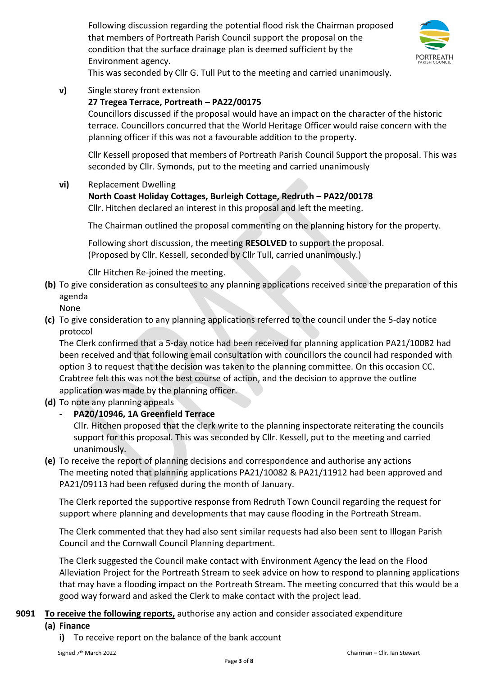Following discussion regarding the potential flood risk the Chairman proposed that members of Portreath Parish Council support the proposal on the condition that the surface drainage plan is deemed sufficient by the Environment agency.



This was seconded by Cllr G. Tull Put to the meeting and carried unanimously.

**v)** Single storey front extension

# **27 Tregea Terrace, Portreath – PA22/00175**

Councillors discussed if the proposal would have an impact on the character of the historic terrace. Councillors concurred that the World Heritage Officer would raise concern with the planning officer if this was not a favourable addition to the property.

Cllr Kessell proposed that members of Portreath Parish Council Support the proposal. This was seconded by Cllr. Symonds, put to the meeting and carried unanimously

**vi)** Replacement Dwelling

# **North Coast Holiday Cottages, Burleigh Cottage, Redruth – PA22/00178**

Cllr. Hitchen declared an interest in this proposal and left the meeting.

The Chairman outlined the proposal commenting on the planning history for the property.

Following short discussion, the meeting **RESOLVED** to support the proposal. (Proposed by Cllr. Kessell, seconded by Cllr Tull, carried unanimously.)

Cllr Hitchen Re-joined the meeting.

**(b)** To give consideration as consultees to any planning applications received since the preparation of this agenda

None

**(c)** To give consideration to any planning applications referred to the council under the 5-day notice protocol

The Clerk confirmed that a 5-day notice had been received for planning application PA21/10082 had been received and that following email consultation with councillors the council had responded with option 3 to request that the decision was taken to the planning committee. On this occasion CC. Crabtree felt this was not the best course of action, and the decision to approve the outline application was made by the planning officer.

**(d)** To note any planning appeals

# - **PA20/10946, 1A Greenfield Terrace**

Cllr. Hitchen proposed that the clerk write to the planning inspectorate reiterating the councils support for this proposal. This was seconded by Cllr. Kessell, put to the meeting and carried unanimously.

**(e)** To receive the report of planning decisions and correspondence and authorise any actions The meeting noted that planning applications PA21/10082 & PA21/11912 had been approved and PA21/09113 had been refused during the month of January.

The Clerk reported the supportive response from Redruth Town Council regarding the request for support where planning and developments that may cause flooding in the Portreath Stream.

The Clerk commented that they had also sent similar requests had also been sent to Illogan Parish Council and the Cornwall Council Planning department.

The Clerk suggested the Council make contact with Environment Agency the lead on the Flood Alleviation Project for the Portreath Stream to seek advice on how to respond to planning applications that may have a flooding impact on the Portreath Stream. The meeting concurred that this would be a good way forward and asked the Clerk to make contact with the project lead.

# **9091 To receive the following reports,** authorise any action and consider associated expenditure

#### **(a) Finance**

**i)** To receive report on the balance of the bank account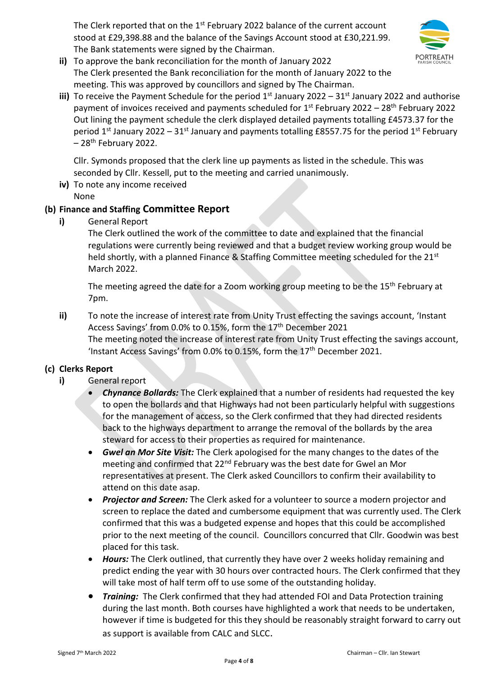The Clerk reported that on the  $1<sup>st</sup>$  February 2022 balance of the current account stood at £29,398.88 and the balance of the Savings Account stood at £30,221.99. The Bank statements were signed by the Chairman.



- **ii)** To approve the bank reconciliation for the month of January 2022 The Clerk presented the Bank reconciliation for the month of January 2022 to the meeting. This was approved by councillors and signed by The Chairman.
- iii) To receive the Payment Schedule for the period 1<sup>st</sup> January 2022 31<sup>st</sup> January 2022 and authorise payment of invoices received and payments scheduled for 1<sup>st</sup> February 2022 – 28<sup>th</sup> February 2022 Out lining the payment schedule the clerk displayed detailed payments totalling £4573.37 for the period 1<sup>st</sup> January 2022 – 31<sup>st</sup> January and payments totalling £8557.75 for the period 1<sup>st</sup> February  $-28$ <sup>th</sup> February 2022.

Cllr. Symonds proposed that the clerk line up payments as listed in the schedule. This was seconded by Cllr. Kessell, put to the meeting and carried unanimously.

**iv)** To note any income received None

# **(b) Finance and Staffing Committee Report**

**i)** General Report

The Clerk outlined the work of the committee to date and explained that the financial regulations were currently being reviewed and that a budget review working group would be held shortly, with a planned Finance & Staffing Committee meeting scheduled for the 21<sup>st</sup> March 2022.

The meeting agreed the date for a Zoom working group meeting to be the 15<sup>th</sup> February at 7pm.

**ii)** To note the increase of interest rate from Unity Trust effecting the savings account, 'Instant Access Savings' from 0.0% to 0.15%, form the 17<sup>th</sup> December 2021 The meeting noted the increase of interest rate from Unity Trust effecting the savings account, 'Instant Access Savings' from 0.0% to 0.15%, form the 17<sup>th</sup> December 2021.

# **(c) Clerks Report**

# **i)** General report

- *Chynance Bollards:* The Clerk explained that a number of residents had requested the key to open the bollards and that Highways had not been particularly helpful with suggestions for the management of access, so the Clerk confirmed that they had directed residents back to the highways department to arrange the removal of the bollards by the area steward for access to their properties as required for maintenance.
- *Gwel an Mor Site Visit:* The Clerk apologised for the many changes to the dates of the meeting and confirmed that 22<sup>nd</sup> February was the best date for Gwel an Mor representatives at present. The Clerk asked Councillors to confirm their availability to attend on this date asap.
- *Projector and Screen:* The Clerk asked for a volunteer to source a modern projector and screen to replace the dated and cumbersome equipment that was currently used. The Clerk confirmed that this was a budgeted expense and hopes that this could be accomplished prior to the next meeting of the council. Councillors concurred that Cllr. Goodwin was best placed for this task.
- *Hours:* The Clerk outlined, that currently they have over 2 weeks holiday remaining and predict ending the year with 30 hours over contracted hours. The Clerk confirmed that they will take most of half term off to use some of the outstanding holiday.
- *Training:* The Clerk confirmed that they had attended FOI and Data Protection training during the last month. Both courses have highlighted a work that needs to be undertaken, however if time is budgeted for this they should be reasonably straight forward to carry out as support is available from CALC and SLCC.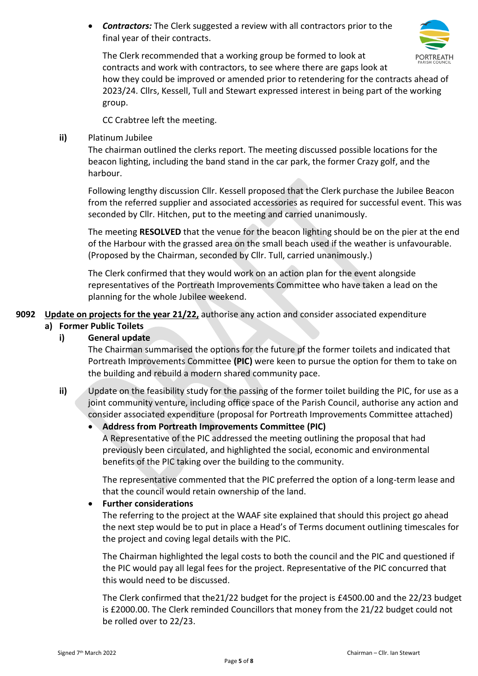• *Contractors:* The Clerk suggested a review with all contractors prior to the final year of their contracts.



The Clerk recommended that a working group be formed to look at contracts and work with contractors, to see where there are gaps look at

how they could be improved or amended prior to retendering for the contracts ahead of 2023/24. Cllrs, Kessell, Tull and Stewart expressed interest in being part of the working group.

CC Crabtree left the meeting.

## **ii)** Platinum Jubilee

The chairman outlined the clerks report. The meeting discussed possible locations for the beacon lighting, including the band stand in the car park, the former Crazy golf, and the harbour.

Following lengthy discussion Cllr. Kessell proposed that the Clerk purchase the Jubilee Beacon from the referred supplier and associated accessories as required for successful event. This was seconded by Cllr. Hitchen, put to the meeting and carried unanimously.

The meeting **RESOLVED** that the venue for the beacon lighting should be on the pier at the end of the Harbour with the grassed area on the small beach used if the weather is unfavourable. (Proposed by the Chairman, seconded by Cllr. Tull, carried unanimously.)

The Clerk confirmed that they would work on an action plan for the event alongside representatives of the Portreath Improvements Committee who have taken a lead on the planning for the whole Jubilee weekend.

**9092 Update on projects for the year 21/22,** authorise any action and consider associated expenditure

# **a) Former Public Toilets**

## **i) General update**

The Chairman summarised the options for the future pf the former toilets and indicated that Portreath Improvements Committee **(PIC)** were keen to pursue the option for them to take on the building and rebuild a modern shared community pace.

**ii)** Update on the feasibility study for the passing of the former toilet building the PIC, for use as a joint community venture, including office space of the Parish Council, authorise any action and consider associated expenditure (proposal for Portreath Improvements Committee attached)

# • **Address from Portreath Improvements Committee (PIC)**

A Representative of the PIC addressed the meeting outlining the proposal that had previously been circulated, and highlighted the social, economic and environmental benefits of the PIC taking over the building to the community.

The representative commented that the PIC preferred the option of a long-term lease and that the council would retain ownership of the land.

#### • **Further considerations**

The referring to the project at the WAAF site explained that should this project go ahead the next step would be to put in place a Head's of Terms document outlining timescales for the project and coving legal details with the PIC.

The Chairman highlighted the legal costs to both the council and the PIC and questioned if the PIC would pay all legal fees for the project. Representative of the PIC concurred that this would need to be discussed.

The Clerk confirmed that the21/22 budget for the project is £4500.00 and the 22/23 budget is £2000.00. The Clerk reminded Councillors that money from the 21/22 budget could not be rolled over to 22/23.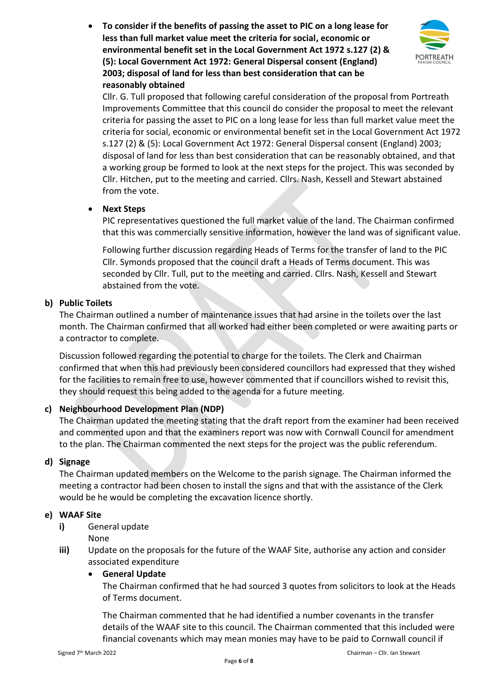• **To consider if the benefits of passing the asset to PIC on a long lease for less than full market value meet the criteria for social, economic or environmental benefit set in the Local Government Act 1972 s.127 (2) & (5): Local Government Act 1972: General Dispersal consent (England) 2003; disposal of land for less than best consideration that can be reasonably obtained**



Cllr. G. Tull proposed that following careful consideration of the proposal from Portreath Improvements Committee that this council do consider the proposal to meet the relevant criteria for passing the asset to PIC on a long lease for less than full market value meet the criteria for social, economic or environmental benefit set in the Local Government Act 1972 s.127 (2) & (5): Local Government Act 1972: General Dispersal consent (England) 2003; disposal of land for less than best consideration that can be reasonably obtained, and that a working group be formed to look at the next steps for the project. This was seconded by Cllr. Hitchen, put to the meeting and carried. Cllrs. Nash, Kessell and Stewart abstained from the vote.

# • **Next Steps**

PIC representatives questioned the full market value of the land. The Chairman confirmed that this was commercially sensitive information, however the land was of significant value.

Following further discussion regarding Heads of Terms for the transfer of land to the PIC Cllr. Symonds proposed that the council draft a Heads of Terms document. This was seconded by Cllr. Tull, put to the meeting and carried. Cllrs. Nash, Kessell and Stewart abstained from the vote.

# **b) Public Toilets**

The Chairman outlined a number of maintenance issues that had arsine in the toilets over the last month. The Chairman confirmed that all worked had either been completed or were awaiting parts or a contractor to complete.

Discussion followed regarding the potential to charge for the toilets. The Clerk and Chairman confirmed that when this had previously been considered councillors had expressed that they wished for the facilities to remain free to use, however commented that if councillors wished to revisit this, they should request this being added to the agenda for a future meeting.

# **c) Neighbourhood Development Plan (NDP)**

The Chairman updated the meeting stating that the draft report from the examiner had been received and commented upon and that the examiners report was now with Cornwall Council for amendment to the plan. The Chairman commented the next steps for the project was the public referendum.

# **d) Signage**

The Chairman updated members on the Welcome to the parish signage. The Chairman informed the meeting a contractor had been chosen to install the signs and that with the assistance of the Clerk would be he would be completing the excavation licence shortly.

# **e) WAAF Site**

**i)** General update

None

**iii)** Update on the proposals for the future of the WAAF Site, authorise any action and consider associated expenditure

# • **General Update**

The Chairman confirmed that he had sourced 3 quotes from solicitors to look at the Heads of Terms document.

The Chairman commented that he had identified a number covenants in the transfer details of the WAAF site to this council. The Chairman commented that this included were financial covenants which may mean monies may have to be paid to Cornwall council if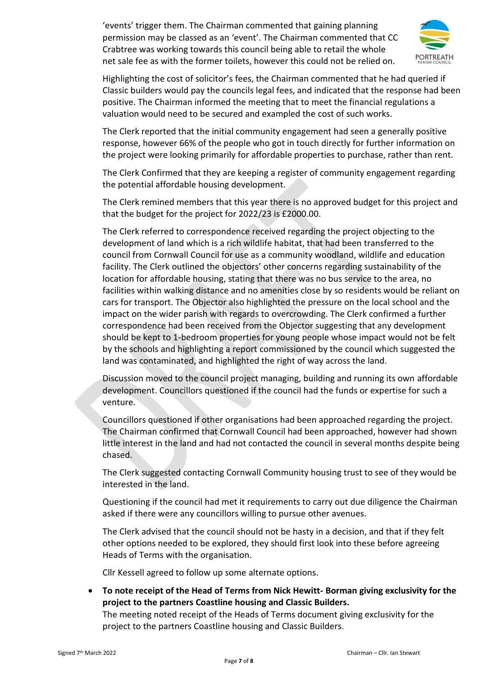'events' trigger them. The Chairman commented that gaining planning permission may be classed as an 'event'. The Chairman commented that CC Crabtree was working towards this council being able to retail the whole net sale fee as with the former toilets, however this could not be relied on.



Highlighting the cost of solicitor's fees, the Chairman commented that he had queried if Classic builders would pay the councils legal fees, and indicated that the response had been positive. The Chairman informed the meeting that to meet the financial regulations a valuation would need to be secured and exampled the cost of such works.

The Clerk reported that the initial community engagement had seen a generally positive response, however 66% of the people who got in touch directly for further information on the project were looking primarily for affordable properties to purchase, rather than rent.

The Clerk Confirmed that they are keeping a register of community engagement regarding the potential affordable housing development.

The Clerk remined members that this year there is no approved budget for this project and that the budget for the project for 2022/23 is £2000.00.

The Clerk referred to correspondence received regarding the project objecting to the development of land which is a rich wildlife habitat, that had been transferred to the council from Cornwall Council for use as a community woodland, wildlife and education facility. The Clerk outlined the objectors' other concerns regarding sustainability of the location for affordable housing, stating that there was no bus service to the area, no facilities within walking distance and no amenities close by so residents would be reliant on cars for transport. The Objector also highlighted the pressure on the local school and the impact on the wider parish with regards to overcrowding. The Clerk confirmed a further correspondence had been received from the Objector suggesting that any development should be kept to 1-bedroom properties for young people whose impact would not be felt by the schools and highlighting a report commissioned by the council which suggested the land was contaminated, and highlighted the right of way across the land.

Discussion moved to the council project managing, building and running its own affordable development. Councillors questioned if the council had the funds or expertise for such a venture.

Councillors questioned if other organisations had been approached regarding the project. The Chairman confirmed that Cornwall Council had been approached, however had shown little interest in the land and had not contacted the council in several months despite being chased.

The Clerk suggested contacting Cornwall Community housing trust to see of they would be interested in the land.

Questioning if the council had met it requirements to carry out due diligence the Chairman asked if there were any councillors willing to pursue other avenues.

The Clerk advised that the council should not be hasty in a decision, and that if they felt other options needed to be explored, they should first look into these before agreeing Heads of Terms with the organisation.

Cllr Kessell agreed to follow up some alternate options.

• **To note receipt of the Head of Terms from Nick Hewitt- Borman giving exclusivity for the project to the partners Coastline housing and Classic Builders.** 

The meeting noted receipt of the Heads of Terms document giving exclusivity for the project to the partners Coastline housing and Classic Builders.